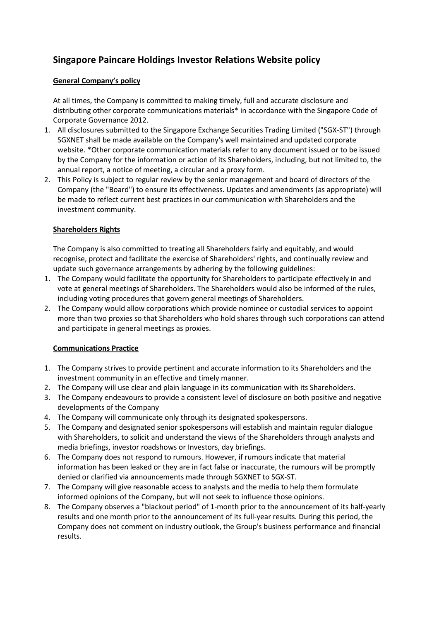# **Singapore Paincare Holdings Investor Relations Website policy**

# **General Company's policy**

At all times, the Company is committed to making timely, full and accurate disclosure and distributing other corporate communications materials\* in accordance with the Singapore Code of Corporate Governance 2012.

- 1. All disclosures submitted to the Singapore Exchange Securities Trading Limited ("SGX-ST") through SGXNET shall be made available on the Company's well maintained and updated corporate website. \*Other corporate communication materials refer to any document issued or to be issued by the Company for the information or action of its Shareholders, including, but not limited to, the annual report, a notice of meeting, a circular and a proxy form.
- 2. This Policy is subject to regular review by the senior management and board of directors of the Company (the "Board") to ensure its effectiveness. Updates and amendments (as appropriate) will be made to reflect current best practices in our communication with Shareholders and the investment community.

#### **Shareholders Rights**

The Company is also committed to treating all Shareholders fairly and equitably, and would recognise, protect and facilitate the exercise of Shareholders' rights, and continually review and update such governance arrangements by adhering by the following guidelines:

- 1. The Company would facilitate the opportunity for Shareholders to participate effectively in and vote at general meetings of Shareholders. The Shareholders would also be informed of the rules, including voting procedures that govern general meetings of Shareholders.
- 2. The Company would allow corporations which provide nominee or custodial services to appoint more than two proxies so that Shareholders who hold shares through such corporations can attend and participate in general meetings as proxies.

# **Communications Practice**

- 1. The Company strives to provide pertinent and accurate information to its Shareholders and the investment community in an effective and timely manner.
- 2. The Company will use clear and plain language in its communication with its Shareholders.
- 3. The Company endeavours to provide a consistent level of disclosure on both positive and negative developments of the Company
- 4. The Company will communicate only through its designated spokespersons.
- 5. The Company and designated senior spokespersons will establish and maintain regular dialogue with Shareholders, to solicit and understand the views of the Shareholders through analysts and media briefings, investor roadshows or Investors, day briefings.
- 6. The Company does not respond to rumours. However, if rumours indicate that material information has been leaked or they are in fact false or inaccurate, the rumours will be promptly denied or clarified via announcements made through SGXNET to SGX-ST.
- 7. The Company will give reasonable access to analysts and the media to help them formulate informed opinions of the Company, but will not seek to influence those opinions.
- 8. The Company observes a "blackout period" of 1-month prior to the announcement of its half-yearly results and one month prior to the announcement of its full-year results. During this period, the Company does not comment on industry outlook, the Group's business performance and financial results.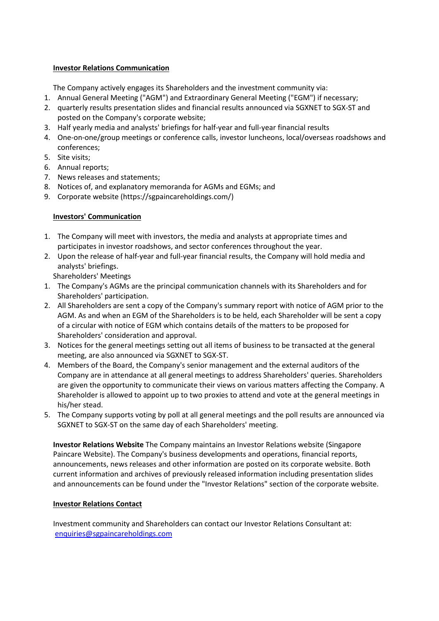#### **Investor Relations Communication**

The Company actively engages its Shareholders and the investment community via:

1. Annual General Meeting ("AGM") and Extraordinary General Meeting ("EGM") if necessary;

- 2. quarterly results presentation slides and financial results announced via SGXNET to SGX-ST and posted on the Company's corporate website;
- 3. Half yearly media and analysts' briefings for half-year and full-year financial results
- 4. One-on-one/group meetings or conference calls, investor luncheons, local/overseas roadshows and conferences;
- 5. Site visits;
- 6. Annual reports;
- 7. News releases and statements;
- 8. Notices of, and explanatory memoranda for AGMs and EGMs; and
- 9. Corporate website (https://sgpaincareholdings.com/)

# **Investors' Communication**

- 1. The Company will meet with investors, the media and analysts at appropriate times and participates in investor roadshows, and sector conferences throughout the year.
- 2. Upon the release of half-year and full-year financial results, the Company will hold media and analysts' briefings.

Shareholders' Meetings

- 1. The Company's AGMs are the principal communication channels with its Shareholders and for Shareholders' participation.
- 2. All Shareholders are sent a copy of the Company's summary report with notice of AGM prior to the AGM. As and when an EGM of the Shareholders is to be held, each Shareholder will be sent a copy of a circular with notice of EGM which contains details of the matters to be proposed for Shareholders' consideration and approval.
- 3. Notices for the general meetings setting out all items of business to be transacted at the general meeting, are also announced via SGXNET to SGX-ST.
- 4. Members of the Board, the Company's senior management and the external auditors of the Company are in attendance at all general meetings to address Shareholders' queries. Shareholders are given the opportunity to communicate their views on various matters affecting the Company. A Shareholder is allowed to appoint up to two proxies to attend and vote at the general meetings in his/her stead.
- 5. The Company supports voting by poll at all general meetings and the poll results are announced via SGXNET to SGX-ST on the same day of each Shareholders' meeting.

**Investor Relations Website** The Company maintains an Investor Relations website (Singapore Paincare Website). The Company's business developments and operations, financial reports, announcements, news releases and other information are posted on its corporate website. Both current information and archives of previously released information including presentation slides and announcements can be found under the "Investor Relations" section of the corporate website.

# **Investor Relations Contact**

Investment community and Shareholders can contact our Investor Relations Consultant at: [enquiries@sgpaincareholdings.com](mailto:enquiries@sgpaincareholdings.com)